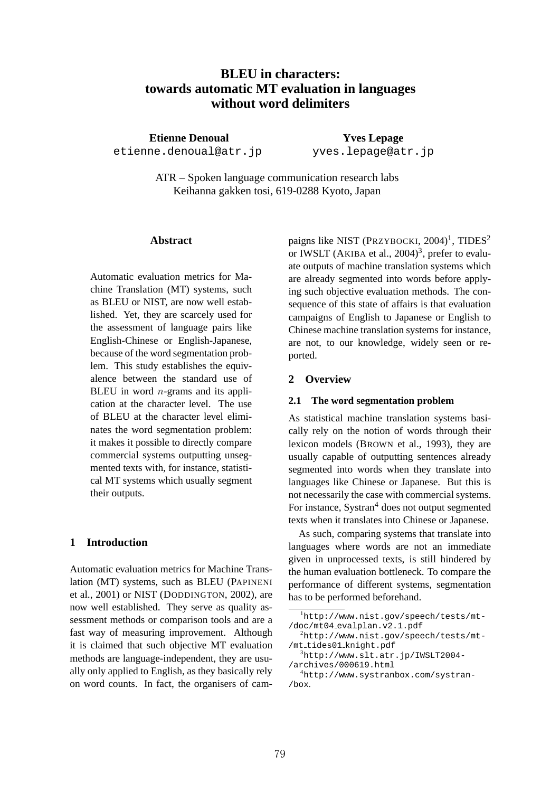# **BLEU in characters: towards automatic MT evaluation in languages without word delimiters**

**Etienne Denoual** etienne.denoual@atr.jp

**Yves Lepage** yves.lepage@atr.jp

ATR – Spoken language communication research labs Keihanna gakken tosi, 619-0288 Kyoto, Japan

### **Abstract**

Automatic evaluation metrics for Machine Translation (MT) systems, such as BLEU or NIST, are now well established. Yet, they are scarcely used for the assessment of language pairs like English-Chinese or English-Japanese, because of the word segmentation problem. This study establishes the equivalence between the standard use of BLEU in word  $n$ -grams and its application at the character level. The use of BLEU at the character level eliminates the word segmentation problem: it makes it possible to directly compare commercial systems outputting unsegmented texts with, for instance, statistical MT systems which usually segment their outputs.

## **1 Introduction**

Automatic evaluation metrics for Machine Translation (MT) systems, such as BLEU (PAPINENI et al., 2001) or NIST (DODDINGTON, 2002), are now well established. They serve as quality assessment methods or comparison tools and are a fast way of measuring improvement. Although it is claimed that such objective MT evaluation methods are language-independent, they are usually only applied to English, as they basically rely on word counts. In fact, the organisers of cam-

paigns like NIST (PRZYBOCKI, 2004)<sup>1</sup>, TIDES<sup>2</sup> or IWSLT (AKIBA et al.,  $2004$ )<sup>3</sup>, prefer to evaluate outputs of machine translation systems which are already segmented into words before applying such objective evaluation methods. The consequence of this state of affairs is that evaluation campaigns of English to Japanese or English to Chinese machine translation systems for instance, are not, to our knowledge, widely seen or reported.

# **2 Overview**

#### **2.1 The word segmentation problem**

As statistical machine translation systems basically rely on the notion of words through their lexicon models (BROWN et al., 1993), they are usually capable of outputting sentences already segmented into words when they translate into languages like Chinese or Japanese. But this is not necessarily the case with commercial systems. For instance, Systran<sup>4</sup> does not output segmented texts when it translates into Chinese or Japanese.

As such, comparing systems that translate into languages where words are not an immediate given in unprocessed texts, is still hindered by the human evaluation bottleneck. To compare the performance of different systems, segmentation has to be performed beforehand.

<sup>1</sup>http://www.nist.gov/speech/tests/mt- /doc/mt04 evalplan.v2.1.pdf

 $^{2}$ http://www.nist.gov/speech/tests/mt-/mt\_tides01\_knight.pdf

 $3$ http://www.slt.atr.jp/IWSLT2004-/archives/000619.html

<sup>4</sup>http://www.systranbox.com/systran- /box.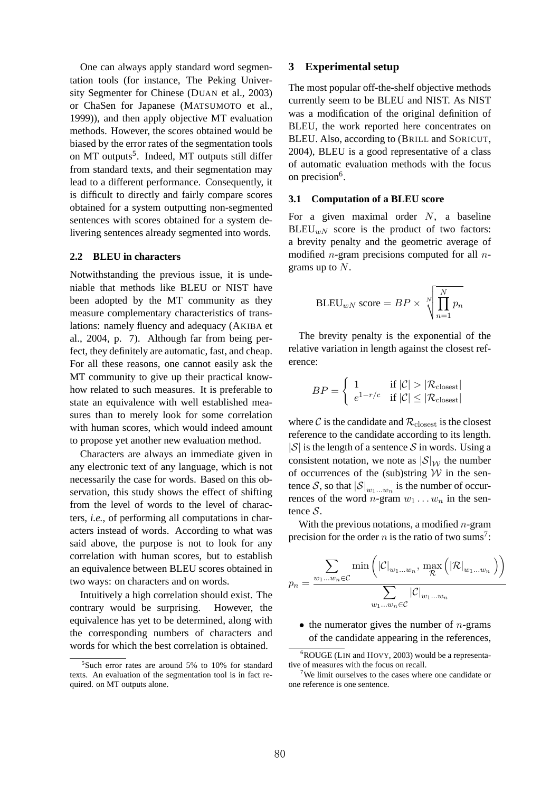One can always apply standard word segmentation tools (for instance, The Peking University Segmenter for Chinese (DUAN et al., 2003) or ChaSen for Japanese (MATSUMOTO et al., 1999)), and then apply objective MT evaluation methods. However, the scores obtained would be biased by the error rates of the segmentation tools on MT outputs<sup>5</sup>. Indeed, MT outputs still differ from standard texts, and their segmentation may lead to a different performance. Consequently, it is difficult to directly and fairly compare scores obtained for a system outputting non-segmented sentences with scores obtained for a system delivering sentences already segmented into words.

#### **2.2 BLEU in characters**

Notwithstanding the previous issue, it is undeniable that methods like BLEU or NIST have been adopted by the MT community as they measure complementary characteristics of translations: namely fluency and adequacy (AKIBA et al., 2004, p. 7). Although far from being perfect, they definitely are automatic, fast, and cheap. For all these reasons, one cannot easily ask the MT community to give up their practical knowhow related to such measures. It is preferable to state an equivalence with well established measures than to merely look for some correlation with human scores, which would indeed amount to propose yet another new evaluation method.

Characters are always an immediate given in any electronic text of any language, which is not necessarily the case for words. Based on this observation, this study shows the effect of shifting from the level of words to the level of characters, *i.e.*, of performing all computations in characters instead of words. According to what was said above, the purpose is not to look for any correlation with human scores, but to establish an equivalence between BLEU scores obtained in two ways: on characters and on words.

Intuitively a high correlation should exist. The contrary would be surprising. However, the equivalence has yet to be determined, along with the corresponding numbers of characters and words for which the best correlation is obtained.

### **3 Experimental setup**

The most popular off-the-shelf objective methods currently seem to be BLEU and NIST. As NIST was a modification of the original definition of BLEU, the work reported here concentrates on BLEU. Also, according to (BRILL and SORICUT, 2004), BLEU is a good representative of a class of automatic evaluation methods with the focus on precision<sup>6</sup>.

#### **3.1 Computation of a BLEU score**

For a given maximal order  $N$ , a baseline  $BLEU_{wN}$  score is the product of two factors: a brevity penalty and the geometric average of modified *n*-gram precisions computed for all *n*grams up to  $N$ .

$$
\text{BLEU}_{wN} \text{ score} = BP \times \sqrt[N]{\prod_{n=1}^{N} p_n}
$$

The brevity penalty is the exponential of the relative variation in length against the closest reference:

$$
BP = \begin{cases} 1 & \text{if } |\mathcal{C}| > |\mathcal{R}_{\text{closest}}| \\ e^{1-r/c} & \text{if } |\mathcal{C}| \le |\mathcal{R}_{\text{closest}}| \end{cases}
$$

where C is the candidate and  $\mathcal{R}_{\text{closest}}$  is the closest reference to the candidate according to its length.  $|S|$  is the length of a sentence S in words. Using a consistent notation, we note as  $|\mathcal{S}|_{\mathcal{W}}$  the number of occurrences of the (sub)string  $W$  in the sentence  $\mathcal{S}$ , so that  $|\mathcal{S}|_{w_1...w_n}$  is the number of occurrences of the word  $n$ -gram  $w_1 \dots w_n$  in the sentence  $S$ .

With the previous notations, a modified  $n$ -gram precision for the order *n* is the ratio of two sums<sup>7</sup>:

$$
p_n = \frac{\sum_{w_1...w_n \in \mathcal{C}} \min\left(|\mathcal{C}|_{w_1...w_n}, \max_{\mathcal{R}}\left(|\mathcal{R}|_{w_1...w_n}\right)\right)}{\sum_{w_1...w_n \in \mathcal{C}} |\mathcal{C}|_{w_1...w_n}}
$$

• the numerator gives the number of  $n$ -grams of the candidate appearing in the references,

<sup>&</sup>lt;sup>5</sup>Such error rates are around 5% to 10% for standard texts. An evaluation of the segmentation tool is in fact required. on MT outputs alone.

<sup>6</sup>ROUGE (LIN and HOVY, 2003) would be a representative of measures with the focus on recall.

<sup>&</sup>lt;sup>7</sup>We limit ourselves to the cases where one candidate or one reference is one sentence.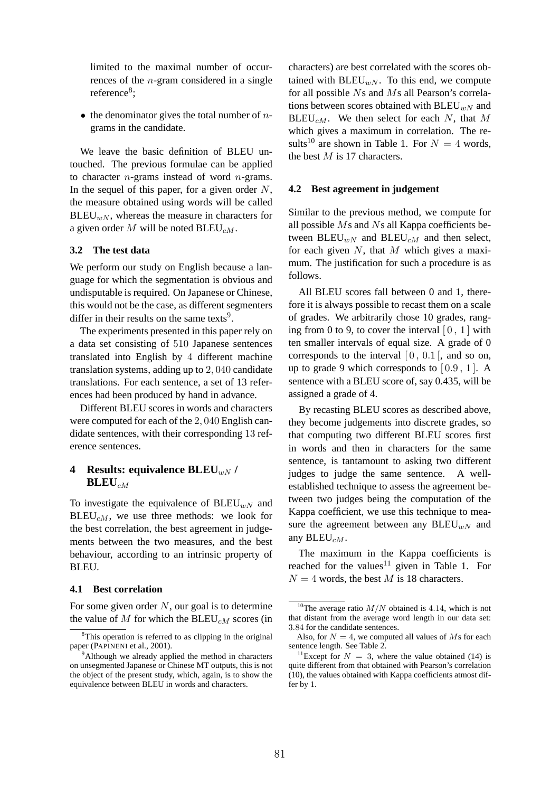limited to the maximal number of occurrences of the n-gram considered in a single reference<sup>8</sup>;

• the denominator gives the total number of  $n$ grams in the candidate.

We leave the basic definition of BLEU untouched. The previous formulae can be applied to character  $n$ -grams instead of word  $n$ -grams. In the sequel of this paper, for a given order  $N$ , the measure obtained using words will be called  $BLEU_{wN}$ , whereas the measure in characters for a given order  $M$  will be noted BLEU<sub>CM</sub>.

### **3.2 The test data**

We perform our study on English because a language for which the segmentation is obvious and undisputable is required. On Japanese or Chinese, this would not be the case, as different segmenters differ in their results on the same texts<sup>9</sup>.

The experiments presented in this paper rely on a data set consisting of 510 Japanese sentences translated into English by 4 different machine translation systems, adding up to 2, 040 candidate translations. For each sentence, a set of 13 references had been produced by hand in advance.

Different BLEU scores in words and characters were computed for each of the 2, 040 English candidate sentences, with their corresponding 13 reference sentences.

# **4** Results: equivalence BLEU<sub>wN</sub> /  $\mathbf{BLEU}_{cM}$

To investigate the equivalence of  $BLEU_{wN}$  and  $BLEU_{cM}$ , we use three methods: we look for the best correlation, the best agreement in judgements between the two measures, and the best behaviour, according to an intrinsic property of BLEU.

#### **4.1 Best correlation**

For some given order  $N$ , our goal is to determine the value of M for which the  $BLEU_{cM}$  scores (in characters) are best correlated with the scores obtained with  $BLEU_{wN}$ . To this end, we compute for all possible Ns and Ms all Pearson's correlations between scores obtained with  $BLEU_{wN}$  and BLEU<sub>CM</sub>. We then select for each N, that M which gives a maximum in correlation. The results<sup>10</sup> are shown in Table 1. For  $N = 4$  words, the best  $M$  is 17 characters.

#### **4.2 Best agreement in judgement**

Similar to the previous method, we compute for all possible Ms and Ns all Kappa coefficients between  $BLEU_{wN}$  and  $BLEU_{cM}$  and then select, for each given  $N$ , that  $M$  which gives a maximum. The justification for such a procedure is as follows.

All BLEU scores fall between 0 and 1, therefore it is always possible to recast them on a scale of grades. We arbitrarily chose 10 grades, ranging from 0 to 9, to cover the interval  $[0, 1]$  with ten smaller intervals of equal size. A grade of 0 corresponds to the interval  $[0, 0.1]$ , and so on, up to grade 9 which corresponds to  $[0.9, 1]$ . A sentence with a BLEU score of, say 0.435, will be assigned a grade of 4.

By recasting BLEU scores as described above, they become judgements into discrete grades, so that computing two different BLEU scores first in words and then in characters for the same sentence, is tantamount to asking two different judges to judge the same sentence. A wellestablished technique to assess the agreement between two judges being the computation of the Kappa coefficient, we use this technique to measure the agreement between any  $BLEU_{wN}$  and any  $BLEU_{cM}$ .

The maximum in the Kappa coefficients is reached for the values $11$  given in Table 1. For  $N = 4$  words, the best M is 18 characters.

<sup>&</sup>lt;sup>8</sup>This operation is referred to as clipping in the original paper (PAPINENI et al., 2001).

 $9^9$ Although we already applied the method in characters on unsegmented Japanese or Chinese MT outputs, this is not the object of the present study, which, again, is to show the equivalence between BLEU in words and characters.

<sup>&</sup>lt;sup>10</sup>The average ratio  $M/N$  obtained is 4.14, which is not that distant from the average word length in our data set: 3.84 for the candidate sentences.

Also, for  $N = 4$ , we computed all values of Ms for each sentence length. See Table 2.

<sup>&</sup>lt;sup>11</sup>Except for  $N = 3$ , where the value obtained (14) is quite different from that obtained with Pearson's correlation (10), the values obtained with Kappa coefficients atmost differ by 1.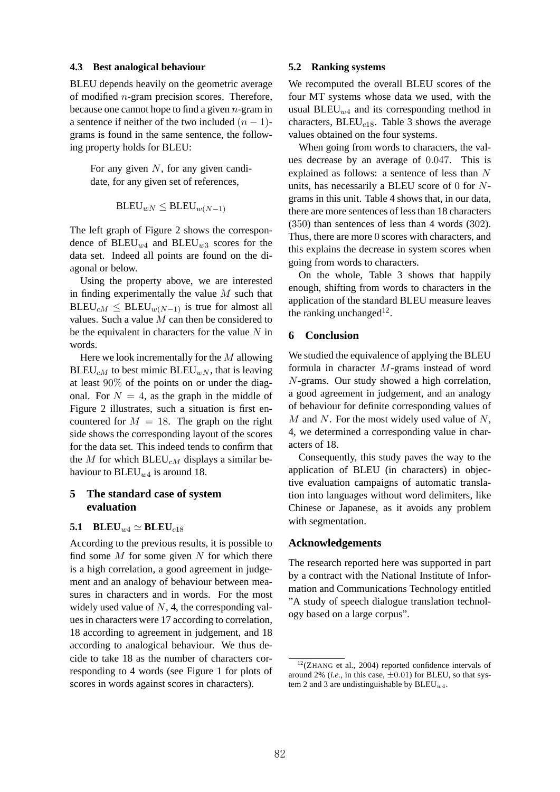#### **4.3 Best analogical behaviour**

BLEU depends heavily on the geometric average of modified n-gram precision scores. Therefore, because one cannot hope to find a given  $n$ -gram in a sentence if neither of the two included  $(n - 1)$ grams is found in the same sentence, the following property holds for BLEU:

For any given  $N$ , for any given candidate, for any given set of references,

$$
\mathsf{BLEU}_{wN} \leq \mathsf{BLEU}_{w(N-1)}
$$

The left graph of Figure 2 shows the correspondence of  $BLEU_{w4}$  and  $BLEU_{w3}$  scores for the data set. Indeed all points are found on the diagonal or below.

Using the property above, we are interested in finding experimentally the value  $M$  such that  $BLEU_{cM} \leq BLEU_{w(N-1)}$  is true for almost all values. Such a value M can then be considered to be the equivalent in characters for the value  $N$  in words.

Here we look incrementally for the  $M$  allowing  $BLEU_{cM}$  to best mimic  $BLEU_{wN}$ , that is leaving at least 90% of the points on or under the diagonal. For  $N = 4$ , as the graph in the middle of Figure 2 illustrates, such a situation is first encountered for  $M = 18$ . The graph on the right side shows the corresponding layout of the scores for the data set. This indeed tends to confirm that the M for which  $BLEU_{cM}$  displays a similar behaviour to  $BLEU_{w4}$  is around 18.

# **5 The standard case of system evaluation**

## **5.1 BLEU** $_{w4} \simeq$  **BLEU** $_{c18}$

According to the previous results, it is possible to find some  $M$  for some given  $N$  for which there is a high correlation, a good agreement in judgement and an analogy of behaviour between measures in characters and in words. For the most widely used value of  $N$ , 4, the corresponding values in characters were 17 according to correlation, 18 according to agreement in judgement, and 18 according to analogical behaviour. We thus decide to take 18 as the number of characters corresponding to 4 words (see Figure 1 for plots of scores in words against scores in characters).

#### **5.2 Ranking systems**

We recomputed the overall BLEU scores of the four MT systems whose data we used, with the usual BLEU<sub>w4</sub> and its corresponding method in characters,  $BLEU_{c18}$ . Table 3 shows the average values obtained on the four systems.

When going from words to characters, the values decrease by an average of 0.047. This is explained as follows: a sentence of less than N units, has necessarily a BLEU score of 0 for Ngrams in this unit. Table 4 shows that, in our data, there are more sentences of less than 18 characters (350) than sentences of less than 4 words (302). Thus, there are more 0 scores with characters, and this explains the decrease in system scores when going from words to characters.

On the whole, Table 3 shows that happily enough, shifting from words to characters in the application of the standard BLEU measure leaves the ranking unchanged $12$ .

# **6 Conclusion**

We studied the equivalence of applying the BLEU formula in character M-grams instead of word N-grams. Our study showed a high correlation, a good agreement in judgement, and an analogy of behaviour for definite corresponding values of  $M$  and  $N$ . For the most widely used value of  $N$ , 4, we determined a corresponding value in characters of 18.

Consequently, this study paves the way to the application of BLEU (in characters) in objective evaluation campaigns of automatic translation into languages without word delimiters, like Chinese or Japanese, as it avoids any problem with segmentation.

### **Acknowledgements**

The research reported here was supported in part by a contract with the National Institute of Information and Communications Technology entitled "A study of speech dialogue translation technology based on a large corpus".

 $12$ (ZHANG et al., 2004) reported confidence intervals of around 2% (*i.e.*, in this case,  $\pm 0.01$ ) for BLEU, so that system 2 and 3 are undistinguishable by  $BLEU_{w4}$ .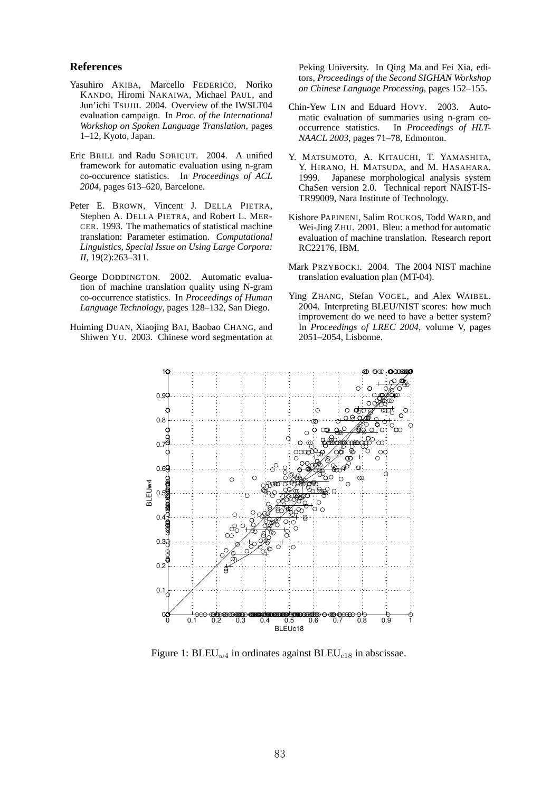### **References**

- Yasuhiro AKIBA, Marcello FEDERICO, Noriko KANDO, Hiromi NAKAIWA, Michael PAUL, and Jun'ichi TSUJII. 2004. Overview of the IWSLT04 evaluation campaign. In *Proc. of the International Workshop on Spoken Language Translation*, pages 1–12, Kyoto, Japan.
- Eric BRILL and Radu SORICUT. 2004. A unified framework for automatic evaluation using n-gram co-occurence statistics. In *Proceedings of ACL 2004*, pages 613–620, Barcelone.
- Peter E. BROWN, Vincent J. DELLA PIETRA, Stephen A. DELLA PIETRA, and Robert L. MER-CER. 1993. The mathematics of statistical machine translation: Parameter estimation. *Computational Linguistics, Special Issue on Using Large Corpora: II*, 19(2):263–311.
- George DODDINGTON. 2002. Automatic evaluation of machine translation quality using N-gram co-occurrence statistics. In *Proceedings of Human Language Technology*, pages 128–132, San Diego.
- Huiming DUAN, Xiaojing BAI, Baobao CHANG, and Shiwen YU. 2003. Chinese word segmentation at

Peking University. In Qing Ma and Fei Xia, editors, *Proceedings of the Second SIGHAN Workshop on Chinese Language Processing*, pages 152–155.

- Chin-Yew LIN and Eduard HOVY. 2003. Automatic evaluation of summaries using n-gram cooccurrence statistics. In *Proceedings of HLT-NAACL 2003*, pages 71–78, Edmonton.
- Y. MATSUMOTO, A. KITAUCHI, T. YAMASHITA, Y. HIRANO, H. MATSUDA, and M. HASAHARA. 1999. Japanese morphological analysis system ChaSen version 2.0. Technical report NAIST-IS-TR99009, Nara Institute of Technology.
- Kishore PAPINENI, Salim ROUKOS, Todd WARD, and Wei-Jing ZHU. 2001. Bleu: a method for automatic evaluation of machine translation. Research report RC22176, IBM.
- Mark PRZYBOCKI. 2004. The 2004 NIST machine translation evaluation plan (MT-04).
- Ying ZHANG, Stefan VOGEL, and Alex WAIBEL. 2004. Interpreting BLEU/NIST scores: how much improvement do we need to have a better system? In *Proceedings of LREC 2004*, volume V, pages 2051–2054, Lisbonne.



Figure 1:  $BLEU_{w4}$  in ordinates against  $BLEU_{c18}$  in abscissae.